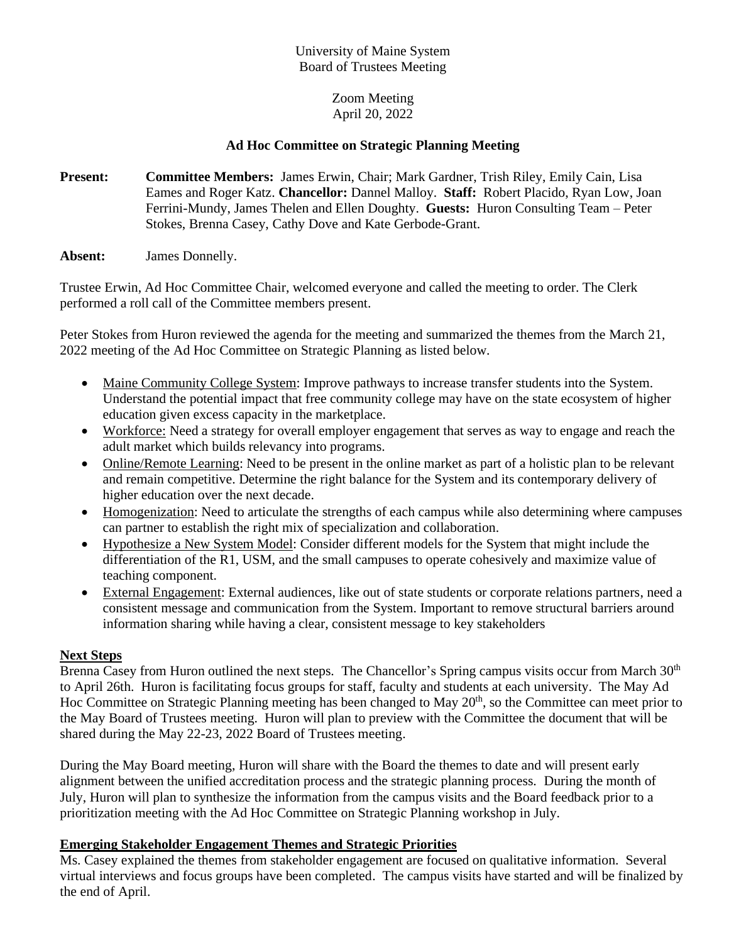# University of Maine System Board of Trustees Meeting

# Zoom Meeting April 20, 2022

# **Ad Hoc Committee on Strategic Planning Meeting**

- **Present: Committee Members:** James Erwin, Chair; Mark Gardner, Trish Riley, Emily Cain, Lisa Eames and Roger Katz. **Chancellor:** Dannel Malloy. **Staff:** Robert Placido, Ryan Low, Joan Ferrini-Mundy, James Thelen and Ellen Doughty. **Guests:** Huron Consulting Team – Peter Stokes, Brenna Casey, Cathy Dove and Kate Gerbode-Grant.
- **Absent:** James Donnelly.

Trustee Erwin, Ad Hoc Committee Chair, welcomed everyone and called the meeting to order. The Clerk performed a roll call of the Committee members present.

Peter Stokes from Huron reviewed the agenda for the meeting and summarized the themes from the March 21, 2022 meeting of the Ad Hoc Committee on Strategic Planning as listed below.

- Maine Community College System: Improve pathways to increase transfer students into the System. Understand the potential impact that free community college may have on the state ecosystem of higher education given excess capacity in the marketplace.
- Workforce: Need a strategy for overall employer engagement that serves as way to engage and reach the adult market which builds relevancy into programs.
- Online/Remote Learning: Need to be present in the online market as part of a holistic plan to be relevant and remain competitive. Determine the right balance for the System and its contemporary delivery of higher education over the next decade.
- Homogenization: Need to articulate the strengths of each campus while also determining where campuses can partner to establish the right mix of specialization and collaboration.
- Hypothesize a New System Model: Consider different models for the System that might include the differentiation of the R1, USM, and the small campuses to operate cohesively and maximize value of teaching component.
- External Engagement: External audiences, like out of state students or corporate relations partners, need a consistent message and communication from the System. Important to remove structural barriers around information sharing while having a clear, consistent message to key stakeholders

## **Next Steps**

Brenna Casey from Huron outlined the next steps. The Chancellor's Spring campus visits occur from March 30<sup>th</sup> to April 26th. Huron is facilitating focus groups for staff, faculty and students at each university. The May Ad Hoc Committee on Strategic Planning meeting has been changed to May 20<sup>th</sup>, so the Committee can meet prior to the May Board of Trustees meeting. Huron will plan to preview with the Committee the document that will be shared during the May 22-23, 2022 Board of Trustees meeting.

During the May Board meeting, Huron will share with the Board the themes to date and will present early alignment between the unified accreditation process and the strategic planning process. During the month of July, Huron will plan to synthesize the information from the campus visits and the Board feedback prior to a prioritization meeting with the Ad Hoc Committee on Strategic Planning workshop in July.

## **Emerging Stakeholder Engagement Themes and Strategic Priorities**

Ms. Casey explained the themes from stakeholder engagement are focused on qualitative information. Several virtual interviews and focus groups have been completed. The campus visits have started and will be finalized by the end of April.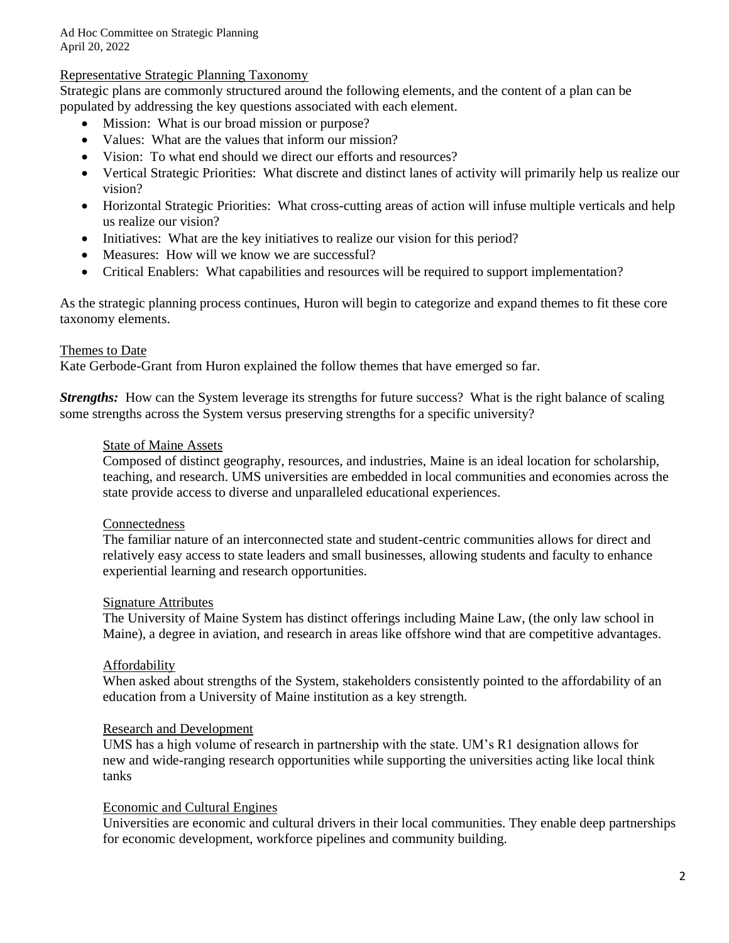## Representative Strategic Planning Taxonomy

Strategic plans are commonly structured around the following elements, and the content of a plan can be populated by addressing the key questions associated with each element.

- Mission: What is our broad mission or purpose?
- Values: What are the values that inform our mission?
- Vision: To what end should we direct our efforts and resources?
- Vertical Strategic Priorities: What discrete and distinct lanes of activity will primarily help us realize our vision?
- Horizontal Strategic Priorities: What cross-cutting areas of action will infuse multiple verticals and help us realize our vision?
- Initiatives: What are the key initiatives to realize our vision for this period?
- Measures: How will we know we are successful?
- Critical Enablers: What capabilities and resources will be required to support implementation?

As the strategic planning process continues, Huron will begin to categorize and expand themes to fit these core taxonomy elements.

#### Themes to Date

Kate Gerbode-Grant from Huron explained the follow themes that have emerged so far.

*Strengths:* How can the System leverage its strengths for future success? What is the right balance of scaling some strengths across the System versus preserving strengths for a specific university?

### State of Maine Assets

Composed of distinct geography, resources, and industries, Maine is an ideal location for scholarship, teaching, and research. UMS universities are embedded in local communities and economies across the state provide access to diverse and unparalleled educational experiences.

#### Connectedness

The familiar nature of an interconnected state and student-centric communities allows for direct and relatively easy access to state leaders and small businesses, allowing students and faculty to enhance experiential learning and research opportunities.

#### Signature Attributes

The University of Maine System has distinct offerings including Maine Law, (the only law school in Maine), a degree in aviation, and research in areas like offshore wind that are competitive advantages.

#### Affordability

When asked about strengths of the System, stakeholders consistently pointed to the affordability of an education from a University of Maine institution as a key strength.

#### Research and Development

UMS has a high volume of research in partnership with the state. UM's R1 designation allows for new and wide-ranging research opportunities while supporting the universities acting like local think tanks

### Economic and Cultural Engines

Universities are economic and cultural drivers in their local communities. They enable deep partnerships for economic development, workforce pipelines and community building.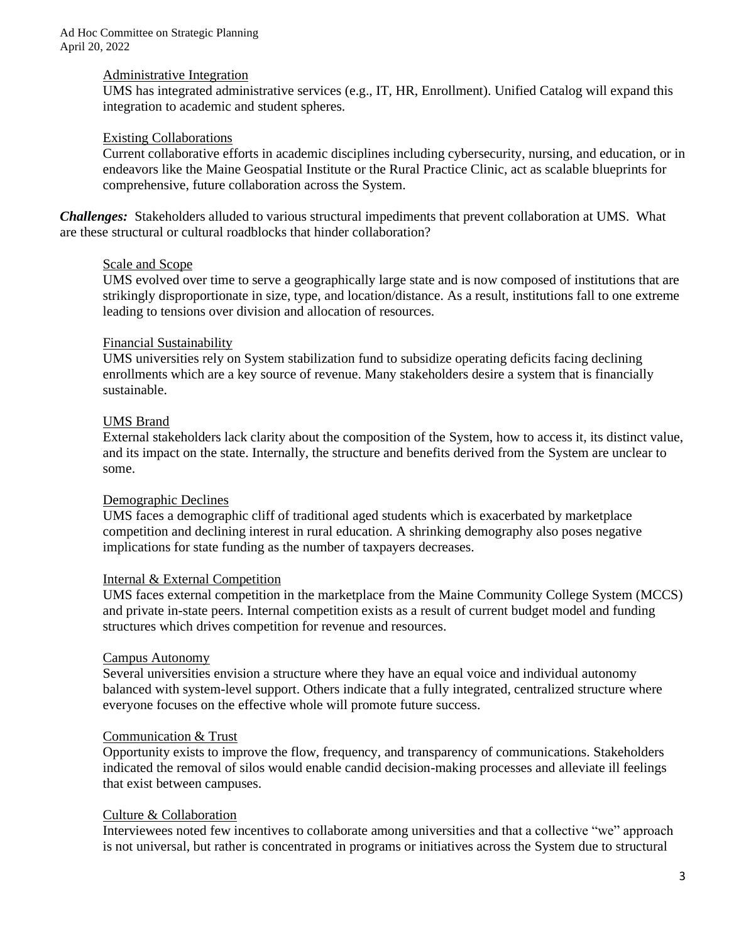### Administrative Integration

UMS has integrated administrative services (e.g., IT, HR, Enrollment). Unified Catalog will expand this integration to academic and student spheres.

## Existing Collaborations

Current collaborative efforts in academic disciplines including cybersecurity, nursing, and education, or in endeavors like the Maine Geospatial Institute or the Rural Practice Clinic, act as scalable blueprints for comprehensive, future collaboration across the System.

*Challenges:*Stakeholders alluded to various structural impediments that prevent collaboration at UMS. What are these structural or cultural roadblocks that hinder collaboration?

## Scale and Scope

UMS evolved over time to serve a geographically large state and is now composed of institutions that are strikingly disproportionate in size, type, and location/distance. As a result, institutions fall to one extreme leading to tensions over division and allocation of resources.

## Financial Sustainability

UMS universities rely on System stabilization fund to subsidize operating deficits facing declining enrollments which are a key source of revenue. Many stakeholders desire a system that is financially sustainable.

## UMS Brand

External stakeholders lack clarity about the composition of the System, how to access it, its distinct value, and its impact on the state. Internally, the structure and benefits derived from the System are unclear to some.

#### Demographic Declines

UMS faces a demographic cliff of traditional aged students which is exacerbated by marketplace competition and declining interest in rural education. A shrinking demography also poses negative implications for state funding as the number of taxpayers decreases.

## Internal & External Competition

UMS faces external competition in the marketplace from the Maine Community College System (MCCS) and private in-state peers. Internal competition exists as a result of current budget model and funding structures which drives competition for revenue and resources.

#### Campus Autonomy

Several universities envision a structure where they have an equal voice and individual autonomy balanced with system-level support. Others indicate that a fully integrated, centralized structure where everyone focuses on the effective whole will promote future success.

## Communication & Trust

Opportunity exists to improve the flow, frequency, and transparency of communications. Stakeholders indicated the removal of silos would enable candid decision-making processes and alleviate ill feelings that exist between campuses.

#### Culture & Collaboration

Interviewees noted few incentives to collaborate among universities and that a collective "we" approach is not universal, but rather is concentrated in programs or initiatives across the System due to structural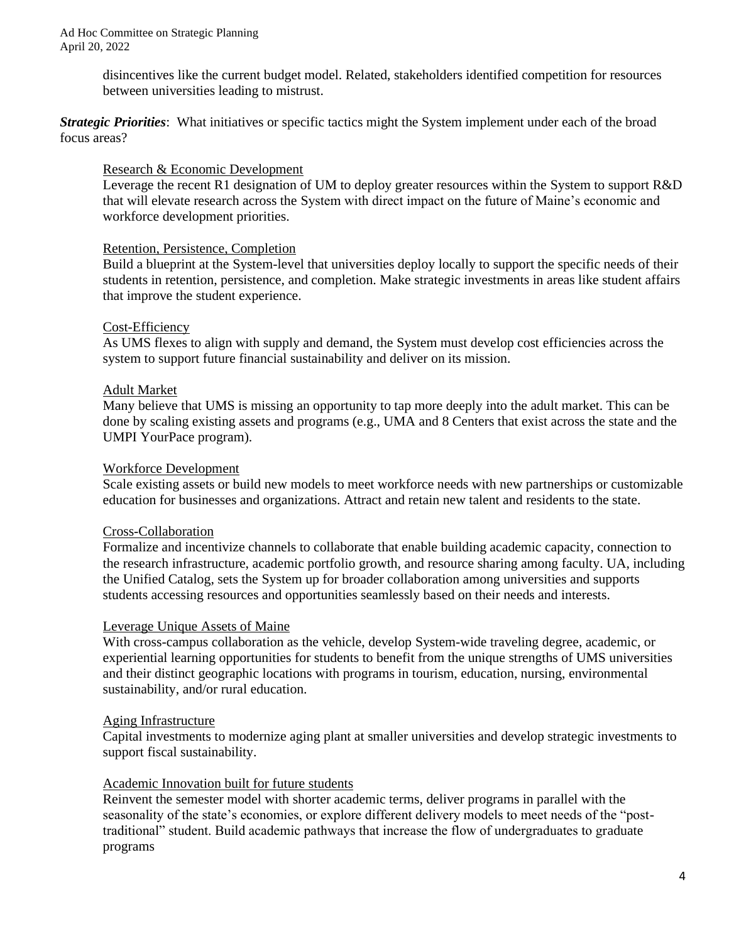disincentives like the current budget model. Related, stakeholders identified competition for resources between universities leading to mistrust.

*Strategic Priorities*: What initiatives or specific tactics might the System implement under each of the broad focus areas?

## Research & Economic Development

Leverage the recent R1 designation of UM to deploy greater resources within the System to support R&D that will elevate research across the System with direct impact on the future of Maine's economic and workforce development priorities.

## Retention, Persistence, Completion

Build a blueprint at the System-level that universities deploy locally to support the specific needs of their students in retention, persistence, and completion. Make strategic investments in areas like student affairs that improve the student experience.

## Cost-Efficiency

As UMS flexes to align with supply and demand, the System must develop cost efficiencies across the system to support future financial sustainability and deliver on its mission.

## Adult Market

Many believe that UMS is missing an opportunity to tap more deeply into the adult market. This can be done by scaling existing assets and programs (e.g., UMA and 8 Centers that exist across the state and the UMPI YourPace program).

### Workforce Development

Scale existing assets or build new models to meet workforce needs with new partnerships or customizable education for businesses and organizations. Attract and retain new talent and residents to the state.

## Cross-Collaboration

Formalize and incentivize channels to collaborate that enable building academic capacity, connection to the research infrastructure, academic portfolio growth, and resource sharing among faculty. UA, including the Unified Catalog, sets the System up for broader collaboration among universities and supports students accessing resources and opportunities seamlessly based on their needs and interests.

#### Leverage Unique Assets of Maine

With cross-campus collaboration as the vehicle, develop System-wide traveling degree, academic, or experiential learning opportunities for students to benefit from the unique strengths of UMS universities and their distinct geographic locations with programs in tourism, education, nursing, environmental sustainability, and/or rural education.

#### Aging Infrastructure

Capital investments to modernize aging plant at smaller universities and develop strategic investments to support fiscal sustainability.

#### Academic Innovation built for future students

Reinvent the semester model with shorter academic terms, deliver programs in parallel with the seasonality of the state's economies, or explore different delivery models to meet needs of the "posttraditional" student. Build academic pathways that increase the flow of undergraduates to graduate programs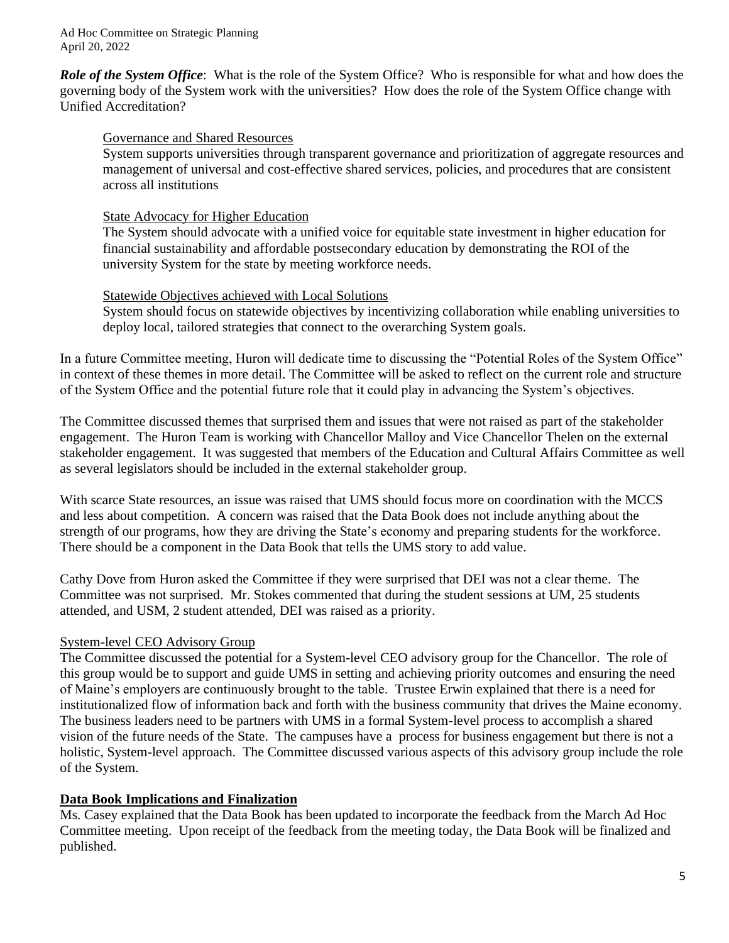*Role of the System Office*: What is the role of the System Office? Who is responsible for what and how does the governing body of the System work with the universities? How does the role of the System Office change with Unified Accreditation?

## Governance and Shared Resources

System supports universities through transparent governance and prioritization of aggregate resources and management of universal and cost-effective shared services, policies, and procedures that are consistent across all institutions

## State Advocacy for Higher Education

The System should advocate with a unified voice for equitable state investment in higher education for financial sustainability and affordable postsecondary education by demonstrating the ROI of the university System for the state by meeting workforce needs.

## Statewide Objectives achieved with Local Solutions

System should focus on statewide objectives by incentivizing collaboration while enabling universities to deploy local, tailored strategies that connect to the overarching System goals.

In a future Committee meeting, Huron will dedicate time to discussing the "Potential Roles of the System Office" in context of these themes in more detail. The Committee will be asked to reflect on the current role and structure of the System Office and the potential future role that it could play in advancing the System's objectives.

The Committee discussed themes that surprised them and issues that were not raised as part of the stakeholder engagement. The Huron Team is working with Chancellor Malloy and Vice Chancellor Thelen on the external stakeholder engagement. It was suggested that members of the Education and Cultural Affairs Committee as well as several legislators should be included in the external stakeholder group.

With scarce State resources, an issue was raised that UMS should focus more on coordination with the MCCS and less about competition. A concern was raised that the Data Book does not include anything about the strength of our programs, how they are driving the State's economy and preparing students for the workforce. There should be a component in the Data Book that tells the UMS story to add value.

Cathy Dove from Huron asked the Committee if they were surprised that DEI was not a clear theme. The Committee was not surprised. Mr. Stokes commented that during the student sessions at UM, 25 students attended, and USM, 2 student attended, DEI was raised as a priority.

## System-level CEO Advisory Group

The Committee discussed the potential for a System-level CEO advisory group for the Chancellor. The role of this group would be to support and guide UMS in setting and achieving priority outcomes and ensuring the need of Maine's employers are continuously brought to the table. Trustee Erwin explained that there is a need for institutionalized flow of information back and forth with the business community that drives the Maine economy. The business leaders need to be partners with UMS in a formal System-level process to accomplish a shared vision of the future needs of the State. The campuses have a process for business engagement but there is not a holistic, System-level approach. The Committee discussed various aspects of this advisory group include the role of the System.

## **Data Book Implications and Finalization**

Ms. Casey explained that the Data Book has been updated to incorporate the feedback from the March Ad Hoc Committee meeting. Upon receipt of the feedback from the meeting today, the Data Book will be finalized and published.